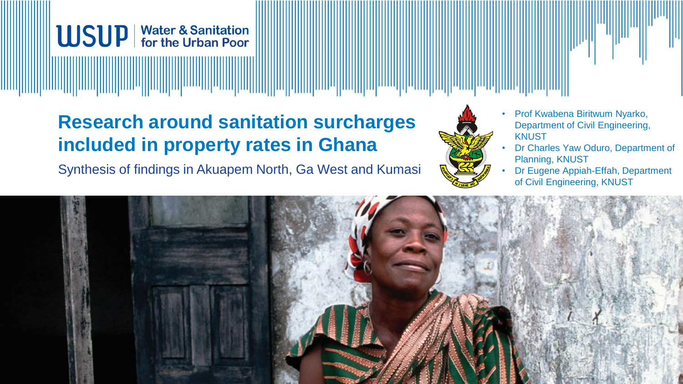

# **Research around sanitation surcharges included in property rates in Ghana**

Synthesis of findings in Akuapem North, Ga West and Kumasi



- Prof Kwabena Biritwum Nyarko, Department of Civil Engineering, **KNUST**
- Dr Charles Yaw Oduro, Department of Planning, KNUST
- Dr Eugene Appiah-Effah, Department of Civil Engineering, KNUST

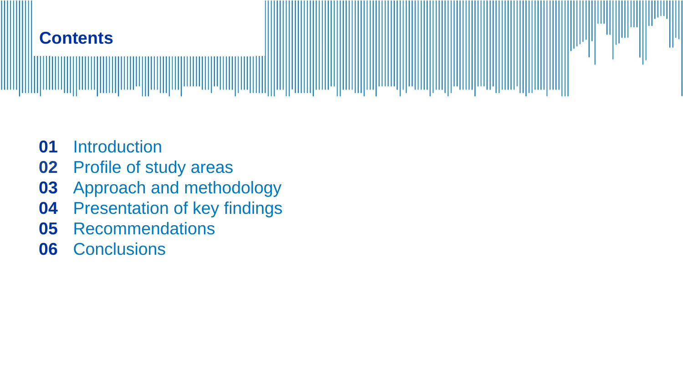

- Introduction
- Profile of study areas
- Approach and methodology
- Presentation of key findings
- Recommendations
- Conclusions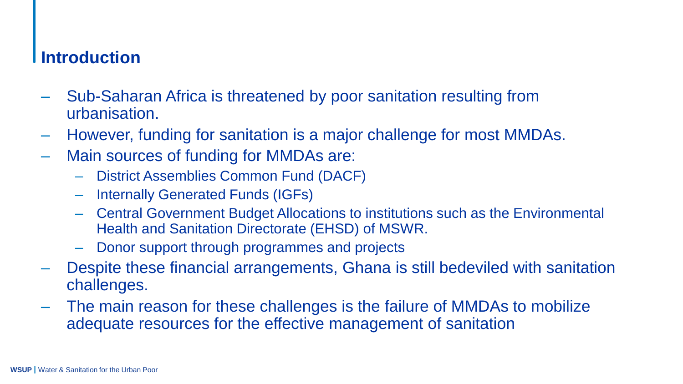#### **Introduction**

- ‒ Sub-Saharan Africa is threatened by poor sanitation resulting from urbanisation.
- ‒ However, funding for sanitation is a major challenge for most MMDAs.
- ‒ Main sources of funding for MMDAs are:
	- ‒ District Assemblies Common Fund (DACF)
	- ‒ Internally Generated Funds (IGFs)
	- ‒ Central Government Budget Allocations to institutions such as the Environmental Health and Sanitation Directorate (EHSD) of MSWR.
	- ‒ Donor support through programmes and projects
- ‒ Despite these financial arrangements, Ghana is still bedeviled with sanitation challenges.
- ‒ The main reason for these challenges is the failure of MMDAs to mobilize adequate resources for the effective management of sanitation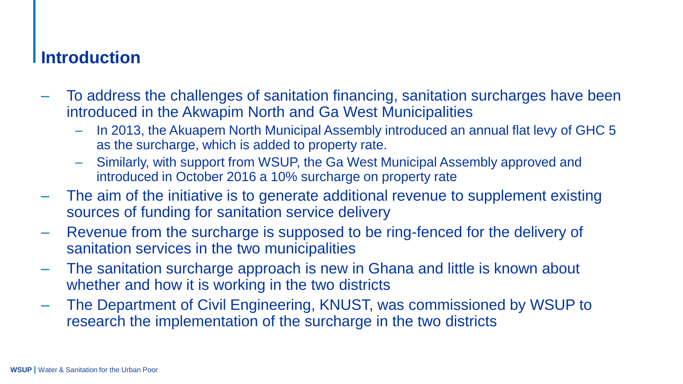#### **Introduction**

- ‒ To address the challenges of sanitation financing, sanitation surcharges have been introduced in the Akwapim North and Ga West Municipalities
	- In 2013, the Akuapem North Municipal Assembly introduced an annual flat levy of GHC 5 as the surcharge, which is added to property rate.
	- ‒ Similarly, with support from WSUP, the Ga West Municipal Assembly approved and introduced in October 2016 a 10% surcharge on property rate
- ‒ The aim of the initiative is to generate additional revenue to supplement existing sources of funding for sanitation service delivery
- ‒ Revenue from the surcharge is supposed to be ring-fenced for the delivery of sanitation services in the two municipalities
- ‒ The sanitation surcharge approach is new in Ghana and little is known about whether and how it is working in the two districts
- ‒ The Department of Civil Engineering, KNUST, was commissioned by WSUP to research the implementation of the surcharge in the two districts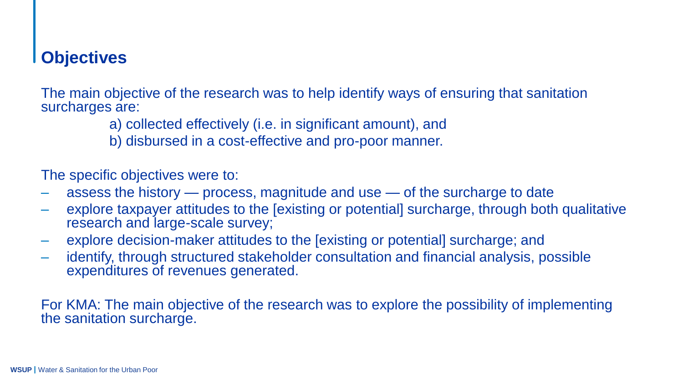## **Objectives**

The main objective of the research was to help identify ways of ensuring that sanitation surcharges are:

- a) collected effectively (i.e. in significant amount), and
- b) disbursed in a cost-effective and pro-poor manner.

The specific objectives were to:

- ‒ assess the history process, magnitude and use of the surcharge to date
- ‒ explore taxpayer attitudes to the [existing or potential] surcharge, through both qualitative research and large-scale survey;
- ‒ explore decision-maker attitudes to the [existing or potential] surcharge; and
- ‒ identify, through structured stakeholder consultation and financial analysis, possible expenditures of revenues generated.

For KMA: The main objective of the research was to explore the possibility of implementing the sanitation surcharge.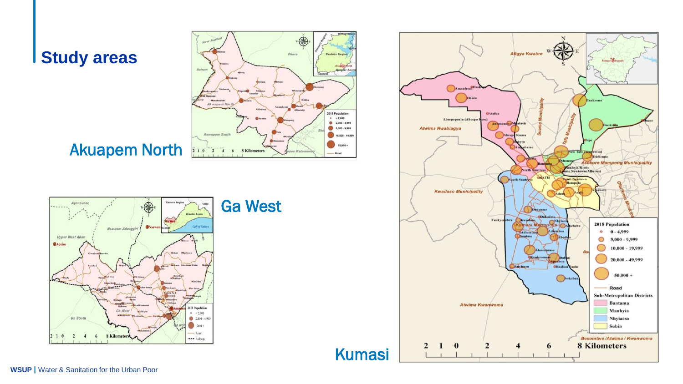### **Study areas**



## Akuapem North



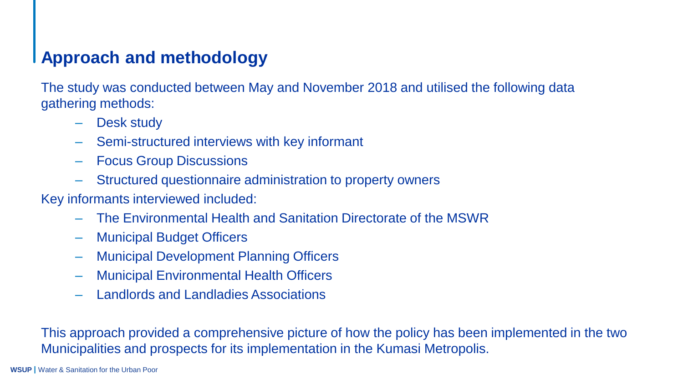## **Approach and methodology**

The study was conducted between May and November 2018 and utilised the following data gathering methods:

- ‒ Desk study
- ‒ Semi-structured interviews with key informant
- ‒ Focus Group Discussions
- ‒ Structured questionnaire administration to property owners

Key informants interviewed included:

- ‒ The Environmental Health and Sanitation Directorate of the MSWR
- ‒ Municipal Budget Officers
- ‒ Municipal Development Planning Officers
- ‒ Municipal Environmental Health Officers
- ‒ Landlords and Landladies Associations

This approach provided a comprehensive picture of how the policy has been implemented in the two Municipalities and prospects for its implementation in the Kumasi Metropolis.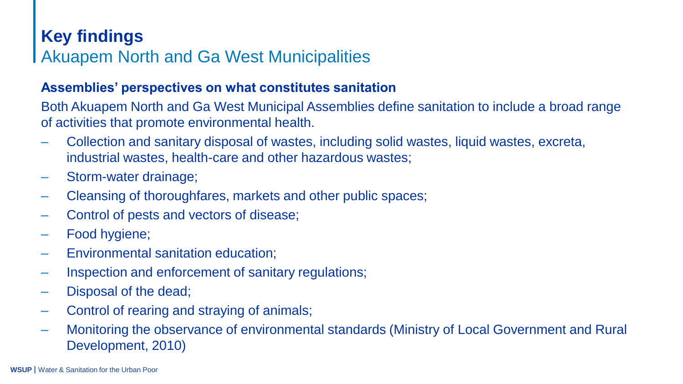#### **Assemblies' perspectives on what constitutes sanitation**

Both Akuapem North and Ga West Municipal Assemblies define sanitation to include a broad range of activities that promote environmental health.

- ‒ Collection and sanitary disposal of wastes, including solid wastes, liquid wastes, excreta, industrial wastes, health-care and other hazardous wastes;
- ‒ Storm-water drainage;
- ‒ Cleansing of thoroughfares, markets and other public spaces;
- Control of pests and vectors of disease;
- ‒ Food hygiene;
- ‒ Environmental sanitation education;
- ‒ Inspection and enforcement of sanitary regulations;
- Disposal of the dead;
- ‒ Control of rearing and straying of animals;
- ‒ Monitoring the observance of environmental standards (Ministry of Local Government and Rural Development, 2010)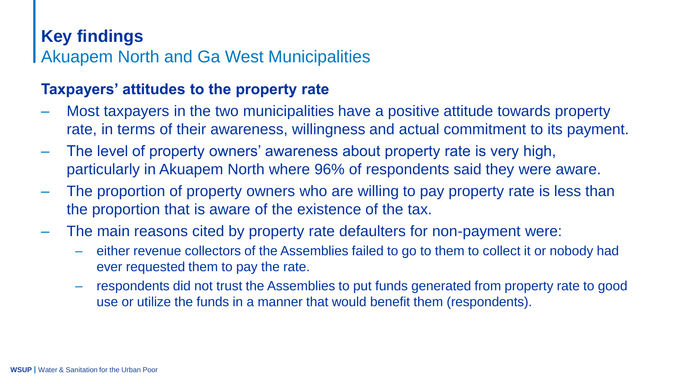#### **Taxpayers' attitudes to the property rate**

- ‒ Most taxpayers in the two municipalities have a positive attitude towards property rate, in terms of their awareness, willingness and actual commitment to its payment.
- ‒ The level of property owners' awareness about property rate is very high, particularly in Akuapem North where 96% of respondents said they were aware.
- ‒ The proportion of property owners who are willing to pay property rate is less than the proportion that is aware of the existence of the tax.
- ‒ The main reasons cited by property rate defaulters for non-payment were:
	- ‒ either revenue collectors of the Assemblies failed to go to them to collect it or nobody had ever requested them to pay the rate.
	- ‒ respondents did not trust the Assemblies to put funds generated from property rate to good use or utilize the funds in a manner that would benefit them (respondents).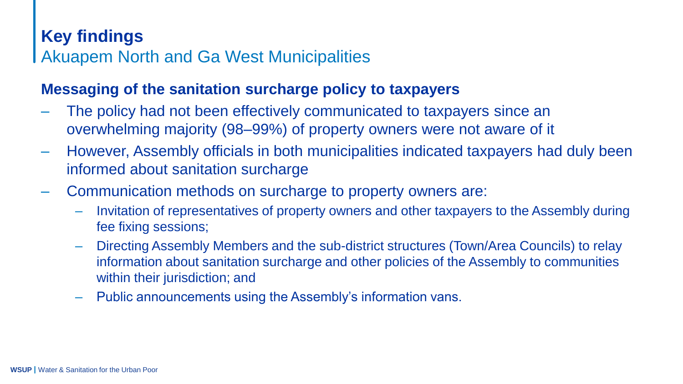#### **Messaging of the sanitation surcharge policy to taxpayers**

- ‒ The policy had not been effectively communicated to taxpayers since an overwhelming majority (98–99%) of property owners were not aware of it
- ‒ However, Assembly officials in both municipalities indicated taxpayers had duly been informed about sanitation surcharge
- ‒ Communication methods on surcharge to property owners are:
	- ‒ Invitation of representatives of property owners and other taxpayers to the Assembly during fee fixing sessions;
	- ‒ Directing Assembly Members and the sub-district structures (Town/Area Councils) to relay information about sanitation surcharge and other policies of the Assembly to communities within their jurisdiction; and
	- ‒ Public announcements using the Assembly's information vans.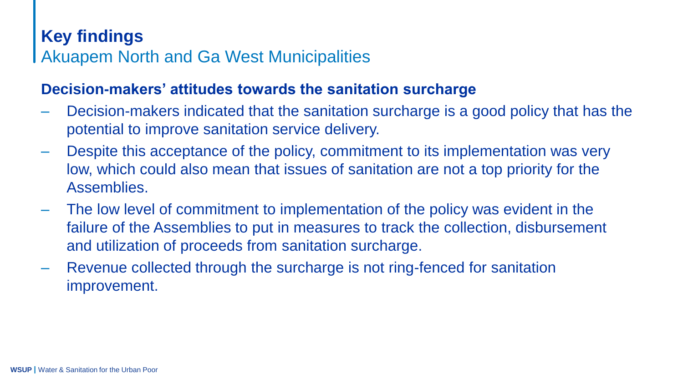#### **Decision-makers' attitudes towards the sanitation surcharge**

- Decision-makers indicated that the sanitation surcharge is a good policy that has the potential to improve sanitation service delivery.
- ‒ Despite this acceptance of the policy, commitment to its implementation was very low, which could also mean that issues of sanitation are not a top priority for the Assemblies.
- ‒ The low level of commitment to implementation of the policy was evident in the failure of the Assemblies to put in measures to track the collection, disbursement and utilization of proceeds from sanitation surcharge.
- ‒ Revenue collected through the surcharge is not ring-fenced for sanitation improvement.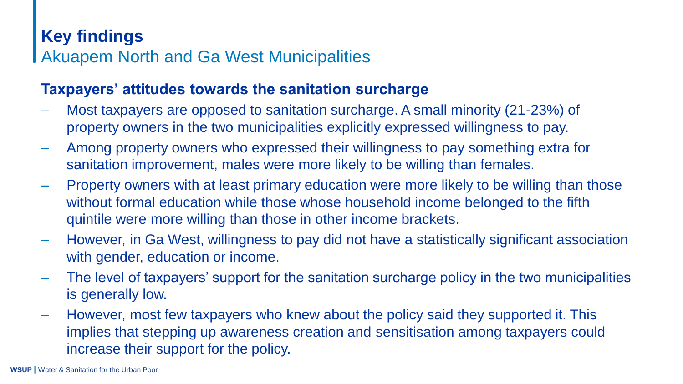#### **Taxpayers' attitudes towards the sanitation surcharge**

- ‒ Most taxpayers are opposed to sanitation surcharge. A small minority (21-23%) of property owners in the two municipalities explicitly expressed willingness to pay.
- ‒ Among property owners who expressed their willingness to pay something extra for sanitation improvement, males were more likely to be willing than females.
- ‒ Property owners with at least primary education were more likely to be willing than those without formal education while those whose household income belonged to the fifth quintile were more willing than those in other income brackets.
- ‒ However, in Ga West, willingness to pay did not have a statistically significant association with gender, education or income.
- ‒ The level of taxpayers' support for the sanitation surcharge policy in the two municipalities is generally low.
- ‒ However, most few taxpayers who knew about the policy said they supported it. This implies that stepping up awareness creation and sensitisation among taxpayers could increase their support for the policy.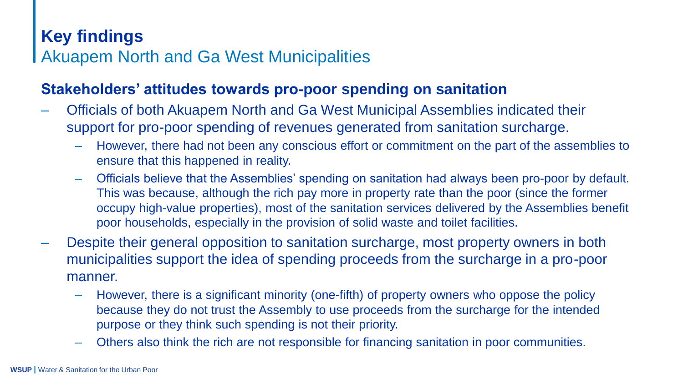#### **Stakeholders' attitudes towards pro-poor spending on sanitation**

- ‒ Officials of both Akuapem North and Ga West Municipal Assemblies indicated their support for pro-poor spending of revenues generated from sanitation surcharge.
	- ‒ However, there had not been any conscious effort or commitment on the part of the assemblies to ensure that this happened in reality.
	- ‒ Officials believe that the Assemblies' spending on sanitation had always been pro-poor by default. This was because, although the rich pay more in property rate than the poor (since the former occupy high-value properties), most of the sanitation services delivered by the Assemblies benefit poor households, especially in the provision of solid waste and toilet facilities.
- ‒ Despite their general opposition to sanitation surcharge, most property owners in both municipalities support the idea of spending proceeds from the surcharge in a pro-poor manner.
	- ‒ However, there is a significant minority (one-fifth) of property owners who oppose the policy because they do not trust the Assembly to use proceeds from the surcharge for the intended purpose or they think such spending is not their priority.
	- ‒ Others also think the rich are not responsible for financing sanitation in poor communities.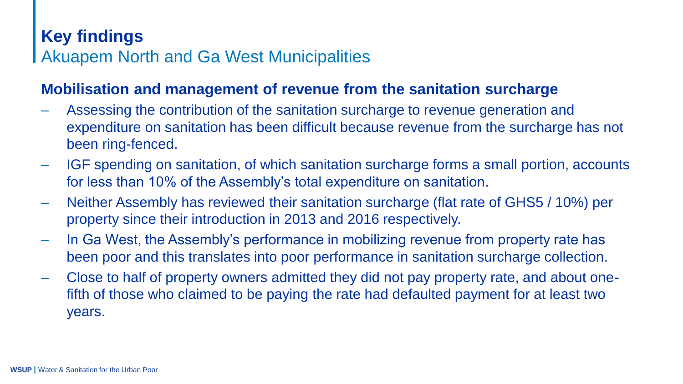#### **Mobilisation and management of revenue from the sanitation surcharge**

- ‒ Assessing the contribution of the sanitation surcharge to revenue generation and expenditure on sanitation has been difficult because revenue from the surcharge has not been ring-fenced.
- ‒ IGF spending on sanitation, of which sanitation surcharge forms a small portion, accounts for less than 10% of the Assembly's total expenditure on sanitation.
- ‒ Neither Assembly has reviewed their sanitation surcharge (flat rate of GHS5 / 10%) per property since their introduction in 2013 and 2016 respectively.
- ‒ In Ga West, the Assembly's performance in mobilizing revenue from property rate has been poor and this translates into poor performance in sanitation surcharge collection.
- ‒ Close to half of property owners admitted they did not pay property rate, and about onefifth of those who claimed to be paying the rate had defaulted payment for at least two years.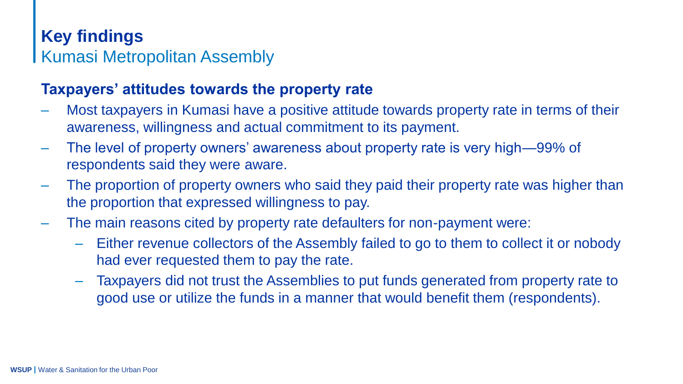## **Key findings** Kumasi Metropolitan Assembly

#### **Taxpayers' attitudes towards the property rate**

- ‒ Most taxpayers in Kumasi have a positive attitude towards property rate in terms of their awareness, willingness and actual commitment to its payment.
- ‒ The level of property owners' awareness about property rate is very high—99% of respondents said they were aware.
- ‒ The proportion of property owners who said they paid their property rate was higher than the proportion that expressed willingness to pay.
- ‒ The main reasons cited by property rate defaulters for non-payment were:
	- ‒ Either revenue collectors of the Assembly failed to go to them to collect it or nobody had ever requested them to pay the rate.
	- ‒ Taxpayers did not trust the Assemblies to put funds generated from property rate to good use or utilize the funds in a manner that would benefit them (respondents).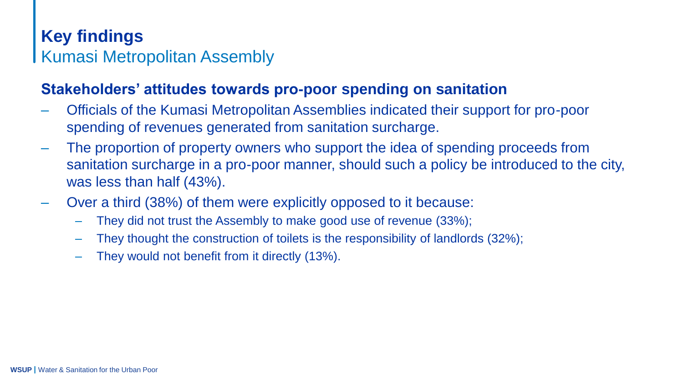## **Key findings** Kumasi Metropolitan Assembly

#### **Stakeholders' attitudes towards pro-poor spending on sanitation**

- ‒ Officials of the Kumasi Metropolitan Assemblies indicated their support for pro-poor spending of revenues generated from sanitation surcharge.
- ‒ The proportion of property owners who support the idea of spending proceeds from sanitation surcharge in a pro-poor manner, should such a policy be introduced to the city, was less than half (43%).
- ‒ Over a third (38%) of them were explicitly opposed to it because:
	- ‒ They did not trust the Assembly to make good use of revenue (33%);
	- ‒ They thought the construction of toilets is the responsibility of landlords (32%);
	- ‒ They would not benefit from it directly (13%).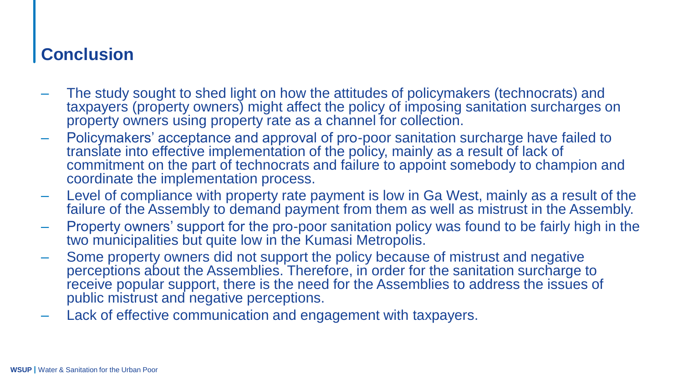### **Conclusion**

- The study sought to shed light on how the attitudes of policymakers (technocrats) and taxpayers (property owners) might affect the policy of imposing sanitation surcharges on property owners using property rate as a channel for collection.
- ‒ Policymakers' acceptance and approval of pro-poor sanitation surcharge have failed to translate into effective implementation of the policy, mainly as a result of lack of commitment on the part of technocrats and failure to appoint somebody to champion and coordinate the implementation process.
- ‒ Level of compliance with property rate payment is low in Ga West, mainly as a result of the failure of the Assembly to demand payment from them as well as mistrust in the Assembly.
- ‒ Property owners' support for the pro-poor sanitation policy was found to be fairly high in the two municipalities but quite low in the Kumasi Metropolis.
- ‒ Some property owners did not support the policy because of mistrust and negative perceptions about the Assemblies. Therefore, in order for the sanitation surcharge to receive popular support, there is the need for the Assemblies to address the issues of public mistrust and negative perceptions.
- Lack of effective communication and engagement with taxpayers.